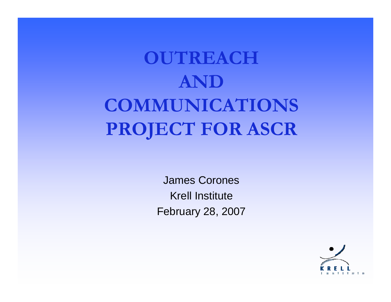# **OUTREACH AND COMMUNICATIONS PROJECT FOR ASCR**

James CoronesKrell InstituteFebruary 28, 2007

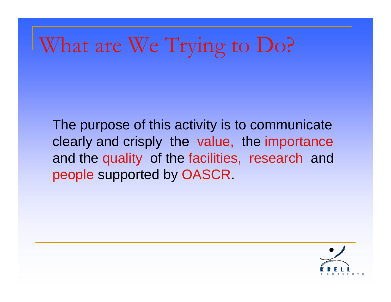# What are We Trying to Do?

The purpose of this activity is to communicate clearly and crisply the value, the importance and the quality of the facilities, research and people supported by OASCR.

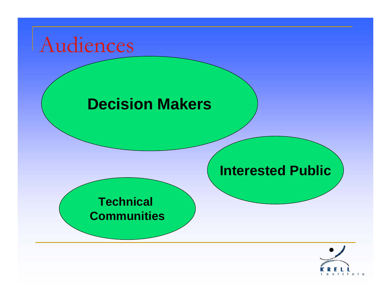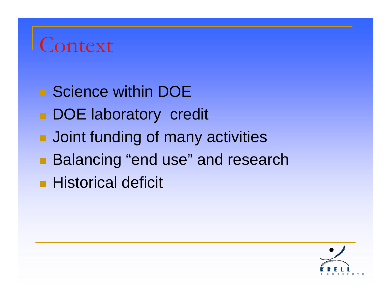## Context

- Science within DOE
- **DOE laboratory credit**
- **Joint funding of many activities**
- **Balancing "end use" and research**
- **Historical deficit**

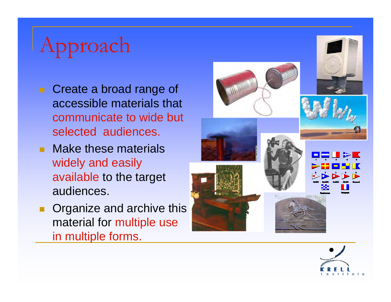# Approach

- **Create a broad range of** accessible materials that communicate to wide but selected audiences.
- **Nake these materials** widely and easily available to the target audiences.
- **Organize and archive this** material for multiple use in multiple forms.



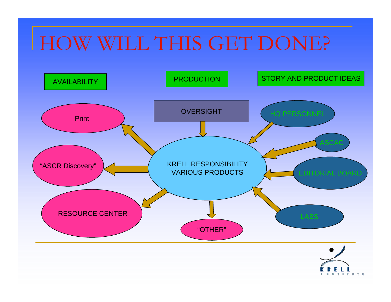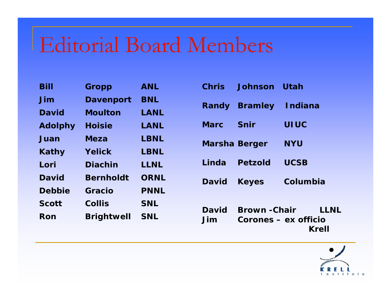# Editorial Board Members

| <b>Bill</b>    | Gropp             | <b>ANL</b>  |
|----------------|-------------------|-------------|
| Jim            | <b>Davenport</b>  | <b>BNL</b>  |
| <b>David</b>   | <b>Moulton</b>    | LANL        |
| <b>Adolphy</b> | <b>Hoisie</b>     | LANL        |
| Juan           | <b>Meza</b>       | <b>LBNL</b> |
| Kathy          | Yelick            | <b>LBNL</b> |
| Lori           | <b>Diachin</b>    | LLNL        |
| <b>David</b>   | <b>Bernholdt</b>  | <b>ORNL</b> |
| <b>Debbie</b>  | Gracio            | <b>PNNL</b> |
| <b>Scott</b>   | <b>Collis</b>     | <b>SNL</b>  |
| <b>Ron</b>     | <b>Brightwell</b> | <b>SNL</b>  |

|                      | Chris Johnson Utah    |                      |
|----------------------|-----------------------|----------------------|
|                      | Randy Bramley Indiana |                      |
| Marc Snir            |                       | <b>UIUC</b>          |
| <b>Marsha Berger</b> |                       | <b>NYU</b>           |
|                      | Linda Petzold         | <b>UCSB</b>          |
| David Keyes          |                       | Columbia             |
|                      |                       |                      |
| <b>David</b>         | <b>Brown -Chair</b>   | LLNL                 |
| Jim                  |                       | Corones – ex officio |



**Krell**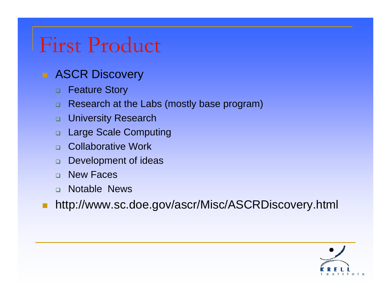## First Product

#### **ASCR Discovery**

- $\Box$ Feature Story
- Research at the Labs (mostly base program)
- □ University Research
- $\Box$ Large Scale Computing
- □ Collaborative Work
- $\Box$ Development of ideas
- $\Box$ New Faces
- **n** Notable News
- $\Box$ http://www.sc.doe.gov/ascr/Misc/ASCRDiscovery.html

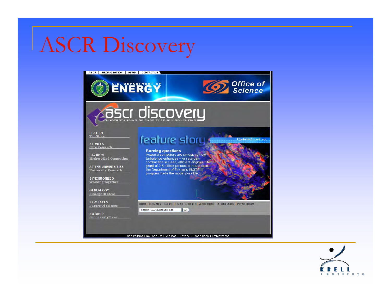## ASCR Discovery



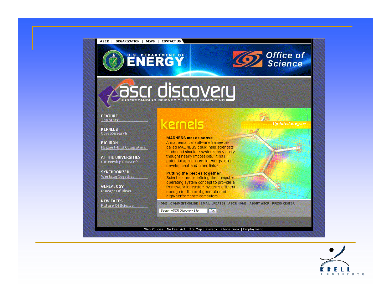

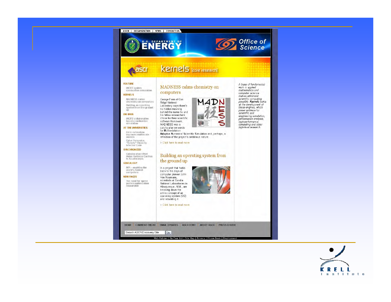

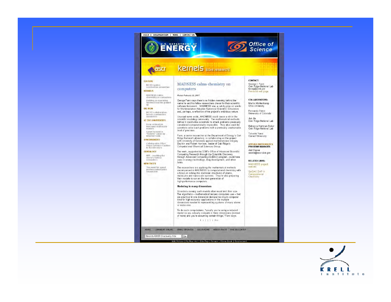



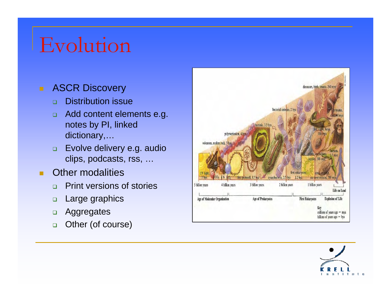## Evolution

#### **ASCR Discovery**

- $\Box$ Distribution issue
- $\Box$  Add content elements e.g. notes by PI, linked dictionary,…
- $\Box$  Evolve delivery e.g. audio clips, podcasts, rss, …
- $\blacksquare$  Other modalities
	- $\Box$ Print versions of stories
	- $\Box$ Large graphics
	- $\Box$ Aggregates
	- $\Box$ Other (of course)